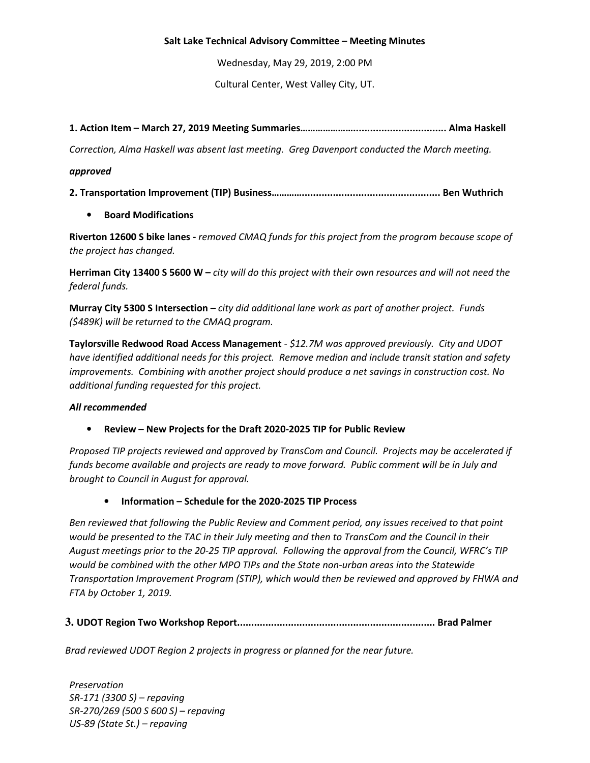#### Salt Lake Technical Advisory Committee – Meeting Minutes

Wednesday, May 29, 2019, 2:00 PM

Cultural Center, West Valley City, UT.

1. Action Item – March 27, 2019 Meeting Summaries…………………................................. Alma Haskell

Correction, Alma Haskell was absent last meeting. Greg Davenport conducted the March meeting.

### approved

- 2. Transportation Improvement (TIP) Business…………................................................. Ben Wuthrich
	- Board Modifications

Riverton 12600 S bike lanes - removed CMAQ funds for this project from the program because scope of the project has changed.

Herriman City 13400 S 5600 W – city will do this project with their own resources and will not need the federal funds.

Murray City 5300 S Intersection – city did additional lane work as part of another project. Funds (\$489K) will be returned to the CMAQ program.

Taylorsville Redwood Road Access Management - \$12.7M was approved previously. City and UDOT have identified additional needs for this project. Remove median and include transit station and safety improvements. Combining with another project should produce a net savings in construction cost. No additional funding requested for this project.

#### All recommended

• Review – New Projects for the Draft 2020-2025 TIP for Public Review

Proposed TIP projects reviewed and approved by TransCom and Council. Projects may be accelerated if funds become available and projects are ready to move forward. Public comment will be in July and brought to Council in August for approval.

• Information – Schedule for the 2020-2025 TIP Process

Ben reviewed that following the Public Review and Comment period, any issues received to that point would be presented to the TAC in their July meeting and then to TransCom and the Council in their August meetings prior to the 20-25 TIP approval. Following the approval from the Council, WFRC's TIP would be combined with the other MPO TIPs and the State non-urban areas into the Statewide Transportation Improvement Program (STIP), which would then be reviewed and approved by FHWA and FTA by October 1, 2019.

**3.** UDOT Region Two Workshop Report...................................................................... Brad Palmer

Brad reviewed UDOT Region 2 projects in progress or planned for the near future.

Preservation SR-171 (3300 S) – repaving SR-270/269 (500 S 600 S) – repaving US-89 (State St.) – repaving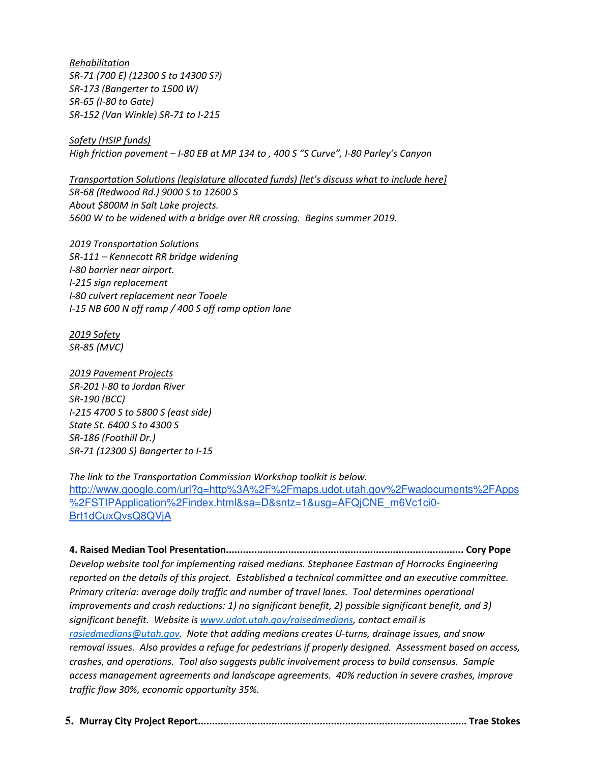Rehabilitation SR-71 (700 E) (12300 S to 14300 S?) SR-173 (Bangerter to 1500 W) SR-65 (I-80 to Gate) SR-152 (Van Winkle) SR-71 to I-215

Safety (HSIP funds) High friction pavement – I-80 EB at MP 134 to , 400 S "S Curve", I-80 Parley's Canyon

Transportation Solutions (legislature allocated funds) [let's discuss what to include here] SR-68 (Redwood Rd.) 9000 S to 12600 S About \$800M in Salt Lake projects. 5600 W to be widened with a bridge over RR crossing. Begins summer 2019.

2019 Transportation Solutions SR-111 – Kennecott RR bridge widening I-80 barrier near airport. I-215 sign replacement I-80 culvert replacement near Tooele I-15 NB 600 N off ramp / 400 S off ramp option lane

2019 Safety SR-85 (MVC)

2019 Pavement Projects SR-201 I-80 to Jordan River SR-190 (BCC) I-215 4700 S to 5800 S (east side) State St. 6400 S to 4300 S SR-186 (Foothill Dr.) SR-71 (12300 S) Bangerter to I-15

The link to the Transportation Commission Workshop toolkit is below. http://www.google.com/url?q=http%3A%2F%2Fmaps.udot.utah.gov%2Fwadocuments%2FApps %2FSTIPApplication%2Findex.html&sa=D&sntz=1&usg=AFQjCNE\_m6Vc1ci0-Brt1dCuxQvsQ8QVjA

4. Raised Median Tool Presentation.................................................................................... Cory Pope Develop website tool for implementing raised medians. Stephanee Eastman of Horrocks Engineering reported on the details of this project. Established a technical committee and an executive committee. Primary criteria: average daily traffic and number of travel lanes. Tool determines operational improvements and crash reductions: 1) no significant benefit, 2) possible significant benefit, and 3) significant benefit. Website is www.udot.utah.gov/raisedmedians, contact email is rasiedmedians@utah.gov. Note that adding medians creates U-turns, drainage issues, and snow removal issues. Also provides a refuge for pedestrians if properly designed. Assessment based on access, crashes, and operations. Tool also suggests public involvement process to build consensus. Sample access management agreements and landscape agreements. 40% reduction in severe crashes, improve traffic flow 30%, economic opportunity 35%.

**5.** Murray City Project Report............................................................................................... Trae Stokes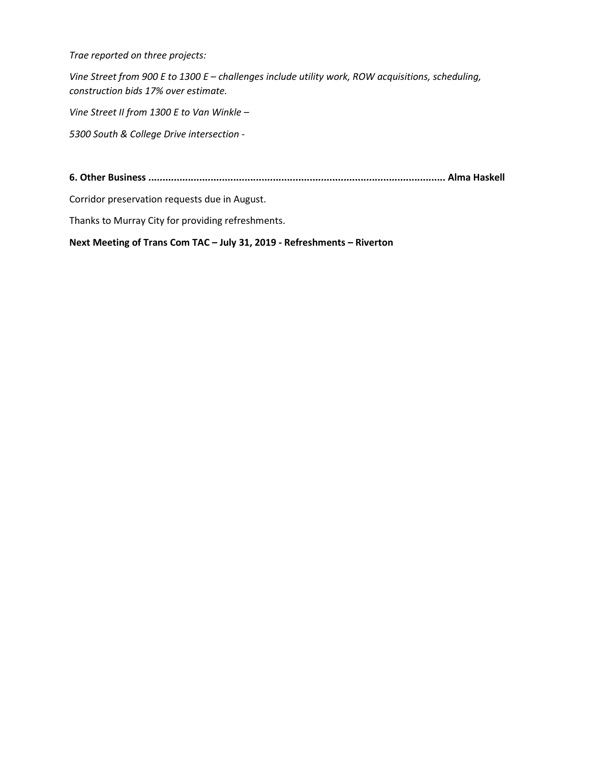Trae reported on three projects:

Vine Street from 900 E to 1300 E – challenges include utility work, ROW acquisitions, scheduling, construction bids 17% over estimate.

Vine Street II from 1300 E to Van Winkle –

5300 South & College Drive intersection -

6. Other Business ......................................................................................................... Alma Haskell

Corridor preservation requests due in August.

Thanks to Murray City for providing refreshments.

Next Meeting of Trans Com TAC – July 31, 2019 - Refreshments – Riverton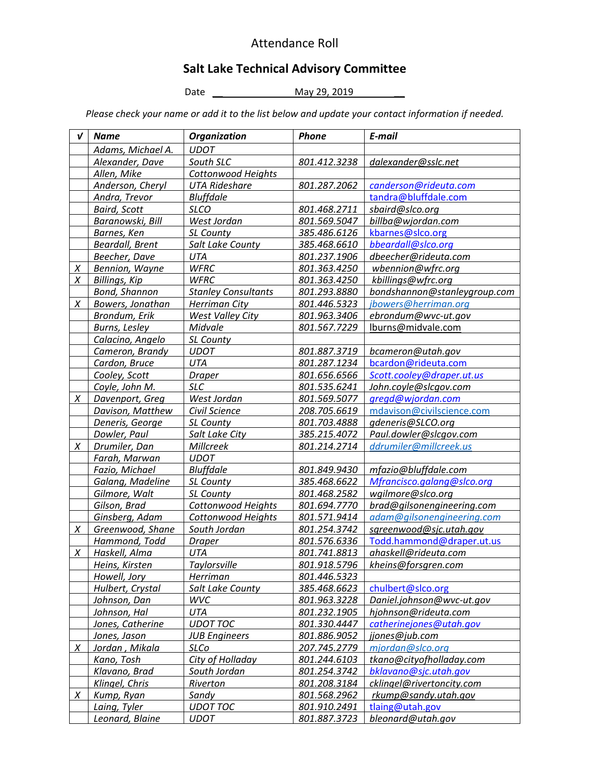## Attendance Roll

# Salt Lake Technical Advisory Committee

Date \_\_ May 29, 2019 \_\_

Please check your name or add it to the list below and update your contact information if needed.

| V      | <b>Name</b>            | <b>Organization</b>        | <b>Phone</b> | E-mail                       |
|--------|------------------------|----------------------------|--------------|------------------------------|
|        | Adams, Michael A.      | <b>UDOT</b>                |              |                              |
|        | Alexander, Dave        | South SLC                  | 801.412.3238 | dalexander@sslc.net          |
|        | Allen, Mike            | Cottonwood Heights         |              |                              |
|        | Anderson, Cheryl       | <b>UTA Rideshare</b>       | 801.287.2062 | canderson@rideuta.com        |
|        | Andra, Trevor          | <b>Bluffdale</b>           |              | tandra@bluffdale.com         |
|        | <b>Baird, Scott</b>    | <b>SLCO</b>                | 801.468.2711 | sbaird@slco.org              |
|        | Baranowski, Bill       | West Jordan                | 801.569.5047 | billba@wjordan.com           |
|        | Barnes, Ken            | SL County                  | 385.486.6126 | kbarnes@slco.org             |
|        | <b>Beardall, Brent</b> | Salt Lake County           | 385.468.6610 | bbeardall@slco.org           |
|        | Beecher, Dave          | UTA                        | 801.237.1906 | dbeecher@rideuta.com         |
| X      | Bennion, Wayne         | <b>WFRC</b>                | 801.363.4250 | wbennion@wfrc.org            |
| X      | Billings, Kip          | <b>WFRC</b>                | 801.363.4250 | kbillings@wfrc.org           |
|        | <b>Bond, Shannon</b>   | <b>Stanley Consultants</b> | 801.293.8880 | bondshannon@stanleygroup.com |
| X      | Bowers, Jonathan       | <b>Herriman City</b>       | 801.446.5323 | jbowers@herriman.org         |
|        | Brondum, Erik          | <b>West Valley City</b>    | 801.963.3406 | ebrondum@wvc-ut.gov          |
|        | Burns, Lesley          | Midvale                    | 801.567.7229 | lburns@midvale.com           |
|        | Calacino, Angelo       | SL County                  |              |                              |
|        | Cameron, Brandy        | <b>UDOT</b>                | 801.887.3719 | bcameron@utah.gov            |
|        | Cardon, Bruce          | <b>UTA</b>                 | 801.287.1234 | bcardon@rideuta.com          |
|        | Cooley, Scott          | <b>Draper</b>              | 801.656.6566 | Scott.cooley@draper.ut.us    |
|        | Coyle, John M.         | <b>SLC</b>                 | 801.535.6241 | John.coyle@slcgov.com        |
| X      | Davenport, Greg        | West Jordan                | 801.569.5077 | gregd@wjordan.com            |
|        | Davison, Matthew       | Civil Science              | 208.705.6619 | mdavison@civilscience.com    |
|        | Deneris, George        | SL County                  | 801.703.4888 | gdeneris@SLCO.org            |
|        | Dowler, Paul           | Salt Lake City             | 385.215.4072 | Paul.dowler@slcgov.com       |
| X      | Drumiler, Dan          | <b>Millcreek</b>           | 801.214.2714 | ddrumiler@millcreek.us       |
|        | Farah, Marwan          | <b>UDOT</b>                |              |                              |
|        | Fazio, Michael         | <b>Bluffdale</b>           | 801.849.9430 | mfazio@bluffdale.com         |
|        | Galang, Madeline       | SL County                  | 385.468.6622 | Mfrancisco.galang@slco.org   |
|        | Gilmore, Walt          | SL County                  | 801.468.2582 | wgilmore@slco.org            |
|        | Gilson, Brad           | Cottonwood Heights         | 801.694.7770 | brad@gilsonengineering.com   |
|        | Ginsberg, Adam         | Cottonwood Heights         | 801.571.9414 | adam@gilsonengineering.com   |
| $\chi$ | Greenwood, Shane       | South Jordan               | 801.254.3742 | sgreenwood@sjc.utah.gov      |
|        | Hammond, Todd          | <b>Draper</b>              | 801.576.6336 | Todd.hammond@draper.ut.us    |
| $\chi$ | Haskell, Alma          | <b>UTA</b>                 | 801.741.8813 | ahaskell@rideuta.com         |
|        | Heins, Kirsten         | <b>Taylorsville</b>        | 801.918.5796 | kheins@forsgren.com          |
|        | Howell, Jory           | Herriman                   | 801.446.5323 |                              |
|        | Hulbert, Crystal       | Salt Lake County           | 385.468.6623 | chulbert@slco.org            |
|        | Johnson, Dan           | <b>WVC</b>                 | 801.963.3228 | Daniel.johnson@wvc-ut.gov    |
|        | Johnson, Hal           | UTA                        | 801.232.1905 | hjohnson@rideuta.com         |
|        | Jones, Catherine       | <b>UDOT TOC</b>            | 801.330.4447 | catherinejones@utah.gov      |
|        | Jones, Jason           | <b>JUB Engineers</b>       | 801.886.9052 | jjones@jub.com               |
| X      | Jordan, Mikala         | <b>SLCo</b>                | 207.745.2779 | mjordan@slco.org             |
|        | Kano, Tosh             | City of Holladay           | 801.244.6103 | tkano@cityofholladay.com     |
|        | Klavano, Brad          | South Jordan               | 801.254.3742 | bklavano@sjc.utah.gov        |
|        | Klingel, Chris         | Riverton                   | 801.208.3184 | cklingel@rivertoncity.com    |
| X      | Kump, Ryan             | Sandy                      | 801.568.2962 | rkump@sandy.utah.gov         |
|        | Laing, Tyler           | <b>UDOT TOC</b>            | 801.910.2491 | tlaing@utah.gov              |
|        | Leonard, Blaine        | <b>UDOT</b>                | 801.887.3723 | bleonard@utah.gov            |